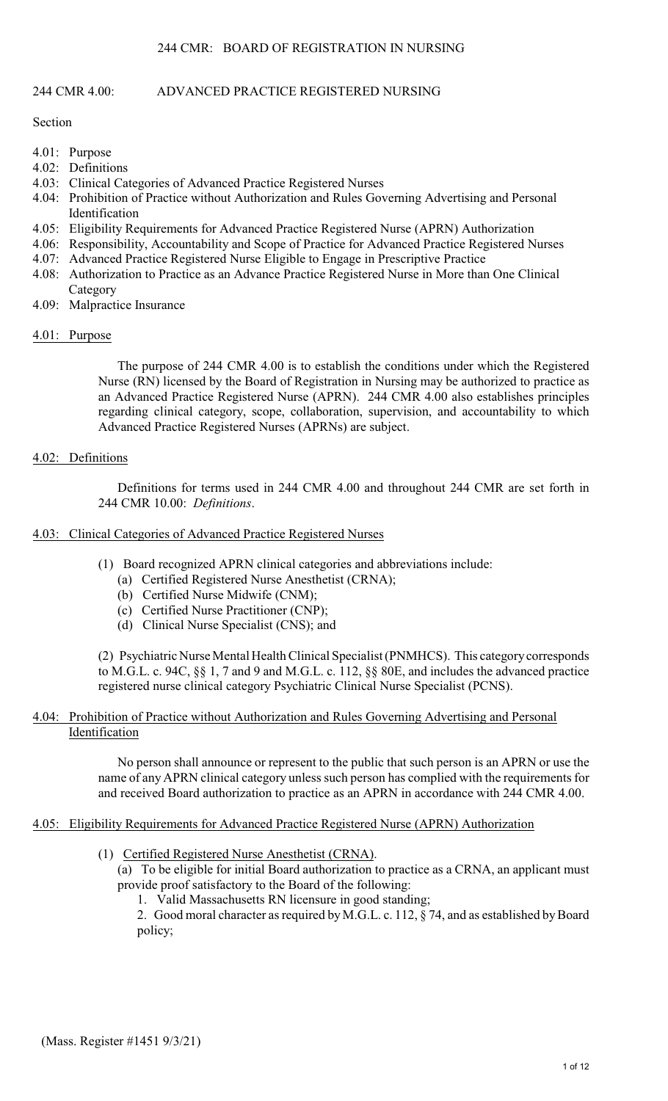# 244 CMR 4.00: ADVANCED PRACTICE REGISTERED NURSING

Section

- 4.01: Purpose
- 4.02: Definitions
- 4.03: Clinical Categories of Advanced Practice Registered Nurses
- 4.04: Prohibition of Practice without Authorization and Rules Governing Advertising and Personal Identification
- 4.05: Eligibility Requirements for Advanced Practice Registered Nurse (APRN) Authorization
- 4.06: Responsibility, Accountability and Scope of Practice for Advanced Practice Registered Nurses
- 4.07: Advanced Practice Registered Nurse Eligible to Engage in Prescriptive Practice
- 4.08: Authorization to Practice as an Advance Practice Registered Nurse in More than One Clinical **Category**
- 4.09: Malpractice Insurance
- 4.01: Purpose

The purpose of 244 CMR 4.00 is to establish the conditions under which the Registered Nurse (RN) licensed by the Board of Registration in Nursing may be authorized to practice as an Advanced Practice Registered Nurse (APRN). 244 CMR 4.00 also establishes principles regarding clinical category, scope, collaboration, supervision, and accountability to which Advanced Practice Registered Nurses (APRNs) are subject.

# 4.02: Definitions

Definitions for terms used in 244 CMR 4.00 and throughout 244 CMR are set forth in 244 CMR 10.00: *Definitions*.

### 4.03: Clinical Categories of Advanced Practice Registered Nurses

- (1) Board recognized APRN clinical categories and abbreviations include:
	- (a) Certified Registered Nurse Anesthetist (CRNA);
	- (b) Certified Nurse Midwife (CNM);
	- (c) Certified Nurse Practitioner (CNP);
	- (d) Clinical Nurse Specialist (CNS); and

(2) Psychiatric Nurse Mental Health Clinical Specialist (PNMHCS). This category corresponds to M.G.L. c. 94C, §§ 1, 7 and 9 and M.G.L. c. 112, §§ 80E, and includes the advanced practice registered nurse clinical category Psychiatric Clinical Nurse Specialist (PCNS).

### 4.04: Prohibition of Practice without Authorization and Rules Governing Advertising and Personal Identification

No person shall announce or represent to the public that such person is an APRN or use the name of any APRN clinical category unless such person has complied with the requirements for and received Board authorization to practice as an APRN in accordance with 244 CMR 4.00.

# 4.05: Eligibility Requirements for Advanced Practice Registered Nurse (APRN) Authorization

(1) Certified Registered Nurse Anesthetist (CRNA).

(a) To be eligible for initial Board authorization to practice as a CRNA, an applicant must provide proof satisfactory to the Board of the following:

1. Valid Massachusetts RN licensure in good standing;

2. Good moral character as required by M.G.L. c. 112, § 74, and as established by Board policy;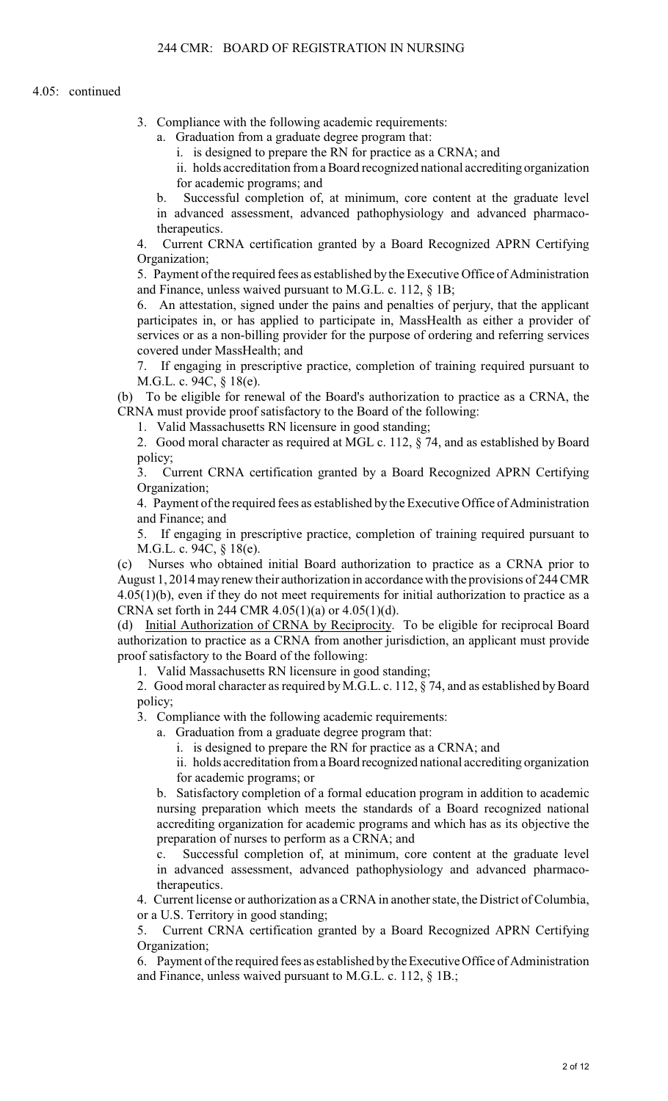3. Compliance with the following academic requirements:

a. Graduation from a graduate degree program that:

i. is designed to prepare the RN for practice as a CRNA; and

ii. holds accreditation from a Board recognized national accrediting organization for academic programs; and

b. Successful completion of, at minimum, core content at the graduate level in advanced assessment, advanced pathophysiology and advanced pharmacotherapeutics.

4. Current CRNA certification granted by a Board Recognized APRN Certifying Organization;

5. Payment of the required fees as established by the Executive Office of Administration and Finance, unless waived pursuant to M.G.L. c. 112, § 1B;

6. An attestation, signed under the pains and penalties of perjury, that the applicant participates in, or has applied to participate in, MassHealth as either a provider of services or as a non-billing provider for the purpose of ordering and referring services covered under MassHealth; and

7. If engaging in prescriptive practice, completion of training required pursuant to M.G.L. c. 94C, § 18(e).

(b) To be eligible for renewal of the Board's authorization to practice as a CRNA, the CRNA must provide proof satisfactory to the Board of the following:

1. Valid Massachusetts RN licensure in good standing;

2. Good moral character as required at MGL c. 112, § 74, and as established by Board policy;

3. Current CRNA certification granted by a Board Recognized APRN Certifying Organization;

4. Payment of the required fees as established by the Executive Office of Administration and Finance; and

5. If engaging in prescriptive practice, completion of training required pursuant to M.G.L. c. 94C, § 18(e).

(c) Nurses who obtained initial Board authorization to practice as a CRNA prior to August 1, 2014 may renew their authorization in accordance with the provisions of 244 CMR  $4.05(1)(b)$ , even if they do not meet requirements for initial authorization to practice as a CRNA set forth in 244 CMR 4.05(1)(a) or 4.05(1)(d).

(d) Initial Authorization of CRNA by Reciprocity. To be eligible for reciprocal Board authorization to practice as a CRNA from another jurisdiction, an applicant must provide proof satisfactory to the Board of the following:

1. Valid Massachusetts RN licensure in good standing;

2. Good moral character as required by M.G.L. c. 112, § 74, and as established by Board policy;

3. Compliance with the following academic requirements:

a. Graduation from a graduate degree program that:

i. is designed to prepare the RN for practice as a CRNA; and

ii. holds accreditation from a Board recognized national accrediting organization for academic programs; or

b. Satisfactory completion of a formal education program in addition to academic nursing preparation which meets the standards of a Board recognized national accrediting organization for academic programs and which has as its objective the preparation of nurses to perform as a CRNA; and

c. Successful completion of, at minimum, core content at the graduate level in advanced assessment, advanced pathophysiology and advanced pharmacotherapeutics.

4. Current license or authorization as a CRNA in another state, the District of Columbia, or a U.S. Territory in good standing;

5. Current CRNA certification granted by a Board Recognized APRN Certifying Organization;

6. Payment of the required fees as established by the Executive Office of Administration and Finance, unless waived pursuant to M.G.L. c. 112, § 1B.;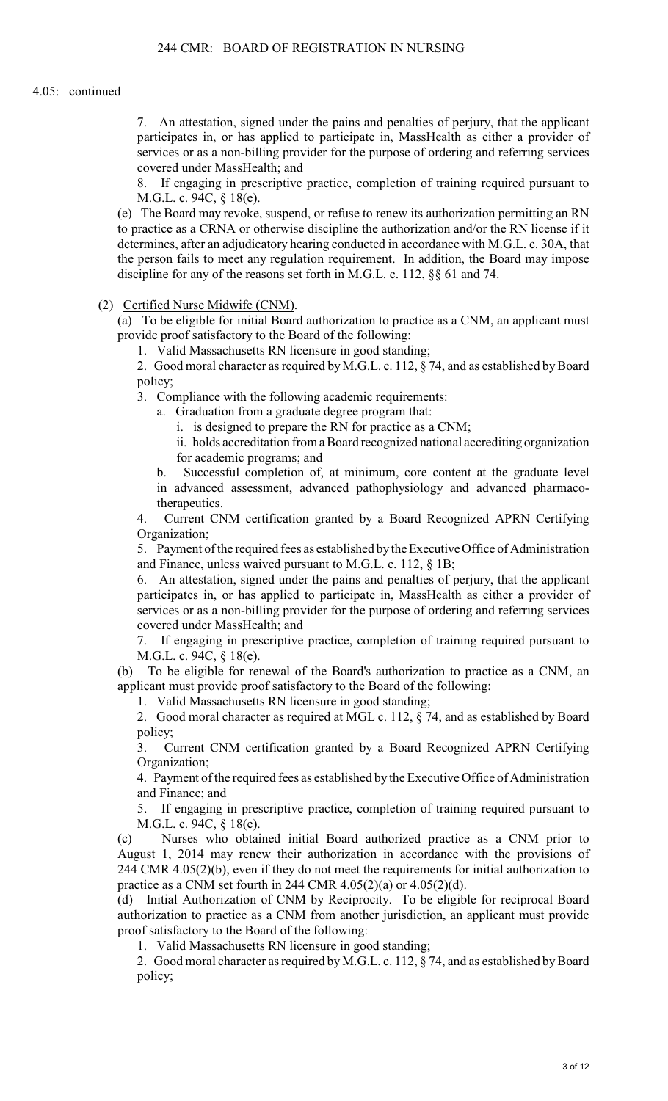7. An attestation, signed under the pains and penalties of perjury, that the applicant participates in, or has applied to participate in, MassHealth as either a provider of services or as a non-billing provider for the purpose of ordering and referring services covered under MassHealth; and

8. If engaging in prescriptive practice, completion of training required pursuant to M.G.L. c. 94C, § 18(e).

(e) The Board may revoke, suspend, or refuse to renew its authorization permitting an RN to practice as a CRNA or otherwise discipline the authorization and/or the RN license if it determines, after an adjudicatory hearing conducted in accordance with M.G.L. c. 30A, that the person fails to meet any regulation requirement. In addition, the Board may impose discipline for any of the reasons set forth in M.G.L. c. 112, §§ 61 and 74.

(2) Certified Nurse Midwife (CNM).

(a) To be eligible for initial Board authorization to practice as a CNM, an applicant must provide proof satisfactory to the Board of the following:

1. Valid Massachusetts RN licensure in good standing;

2. Good moral character as required by M.G.L. c. 112, § 74, and as established by Board policy;

3. Compliance with the following academic requirements:

a. Graduation from a graduate degree program that:

i. is designed to prepare the RN for practice as a CNM;

ii. holds accreditation from a Board recognized national accrediting organization for academic programs; and

b. Successful completion of, at minimum, core content at the graduate level in advanced assessment, advanced pathophysiology and advanced pharmacotherapeutics.

4. Current CNM certification granted by a Board Recognized APRN Certifying Organization;

5. Payment of the required fees as established by the Executive Office of Administration and Finance, unless waived pursuant to M.G.L. c. 112, § 1B;

6. An attestation, signed under the pains and penalties of perjury, that the applicant participates in, or has applied to participate in, MassHealth as either a provider of services or as a non-billing provider for the purpose of ordering and referring services covered under MassHealth; and

7. If engaging in prescriptive practice, completion of training required pursuant to M.G.L. c. 94C, § 18(e).

(b) To be eligible for renewal of the Board's authorization to practice as a CNM, an applicant must provide proof satisfactory to the Board of the following:

1. Valid Massachusetts RN licensure in good standing;

2. Good moral character as required at MGL c. 112, § 74, and as established by Board policy;

3. Current CNM certification granted by a Board Recognized APRN Certifying Organization;

4. Payment of the required fees as established by the Executive Office of Administration and Finance; and

5. If engaging in prescriptive practice, completion of training required pursuant to M.G.L. c. 94C, § 18(e).

(c) Nurses who obtained initial Board authorized practice as a CNM prior to August 1, 2014 may renew their authorization in accordance with the provisions of 244 CMR 4.05(2)(b), even if they do not meet the requirements for initial authorization to practice as a CNM set fourth in 244 CMR 4.05(2)(a) or 4.05(2)(d).

(d) Initial Authorization of CNM by Reciprocity. To be eligible for reciprocal Board authorization to practice as a CNM from another jurisdiction, an applicant must provide proof satisfactory to the Board of the following:

1. Valid Massachusetts RN licensure in good standing;

2. Good moral character as required by M.G.L. c. 112, § 74, and as established by Board policy;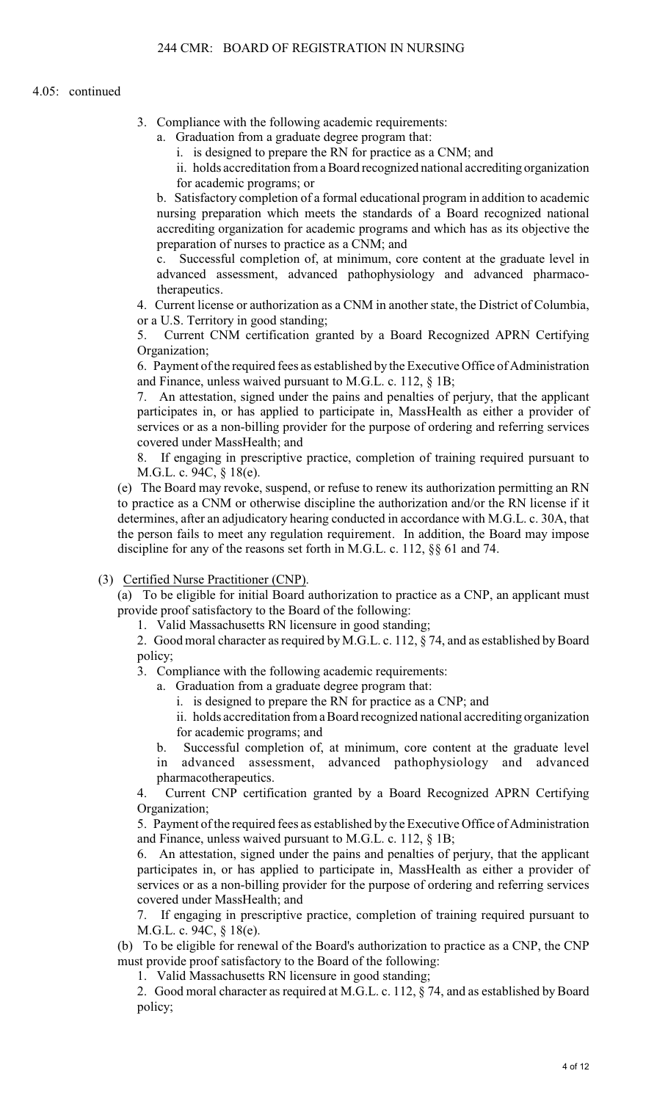### 4.05: continued

- 3. Compliance with the following academic requirements:
	- a. Graduation from a graduate degree program that:
		- i. is designed to prepare the RN for practice as a CNM; and
		- ii. holds accreditation from a Board recognized national accrediting organization for academic programs; or

b. Satisfactory completion of a formal educational program in addition to academic nursing preparation which meets the standards of a Board recognized national accrediting organization for academic programs and which has as its objective the preparation of nurses to practice as a CNM; and

c. Successful completion of, at minimum, core content at the graduate level in advanced assessment, advanced pathophysiology and advanced pharmacotherapeutics

4. Current license or authorization as a CNM in another state, the District of Columbia, or a U.S. Territory in good standing;

5. Current CNM certification granted by a Board Recognized APRN Certifying Organization;

6. Payment of the required fees as established by the Executive Office of Administration and Finance, unless waived pursuant to M.G.L. c. 112, § 1B;

7. An attestation, signed under the pains and penalties of perjury, that the applicant participates in, or has applied to participate in, MassHealth as either a provider of services or as a non-billing provider for the purpose of ordering and referring services covered under MassHealth; and

8. If engaging in prescriptive practice, completion of training required pursuant to M.G.L. c. 94C, § 18(e).

(e) The Board may revoke, suspend, or refuse to renew its authorization permitting an RN to practice as a CNM or otherwise discipline the authorization and/or the RN license if it determines, after an adjudicatory hearing conducted in accordance with M.G.L. c. 30A, that the person fails to meet any regulation requirement. In addition, the Board may impose discipline for any of the reasons set forth in M.G.L. c. 112, §§ 61 and 74.

(3) Certified Nurse Practitioner (CNP).

(a) To be eligible for initial Board authorization to practice as a CNP, an applicant must provide proof satisfactory to the Board of the following:

1. Valid Massachusetts RN licensure in good standing;

2. Good moral character as required by M.G.L. c. 112, § 74, and as established by Board policy;

3. Compliance with the following academic requirements:

- a. Graduation from a graduate degree program that:
	- i. is designed to prepare the RN for practice as a CNP; and

ii. holds accreditation from a Board recognized national accrediting organization for academic programs; and

b. Successful completion of, at minimum, core content at the graduate level in advanced assessment, advanced pathophysiology and advanced pharmacotherapeutics.

4. Current CNP certification granted by a Board Recognized APRN Certifying Organization;

5. Payment of the required fees as established by the Executive Office of Administration and Finance, unless waived pursuant to M.G.L. c. 112, § 1B;

6. An attestation, signed under the pains and penalties of perjury, that the applicant participates in, or has applied to participate in, MassHealth as either a provider of services or as a non-billing provider for the purpose of ordering and referring services covered under MassHealth; and

7. If engaging in prescriptive practice, completion of training required pursuant to M.G.L. c. 94C, § 18(e).

(b) To be eligible for renewal of the Board's authorization to practice as a CNP, the CNP must provide proof satisfactory to the Board of the following:

1. Valid Massachusetts RN licensure in good standing;

2. Good moral character as required at M.G.L. c. 112, § 74, and as established by Board policy;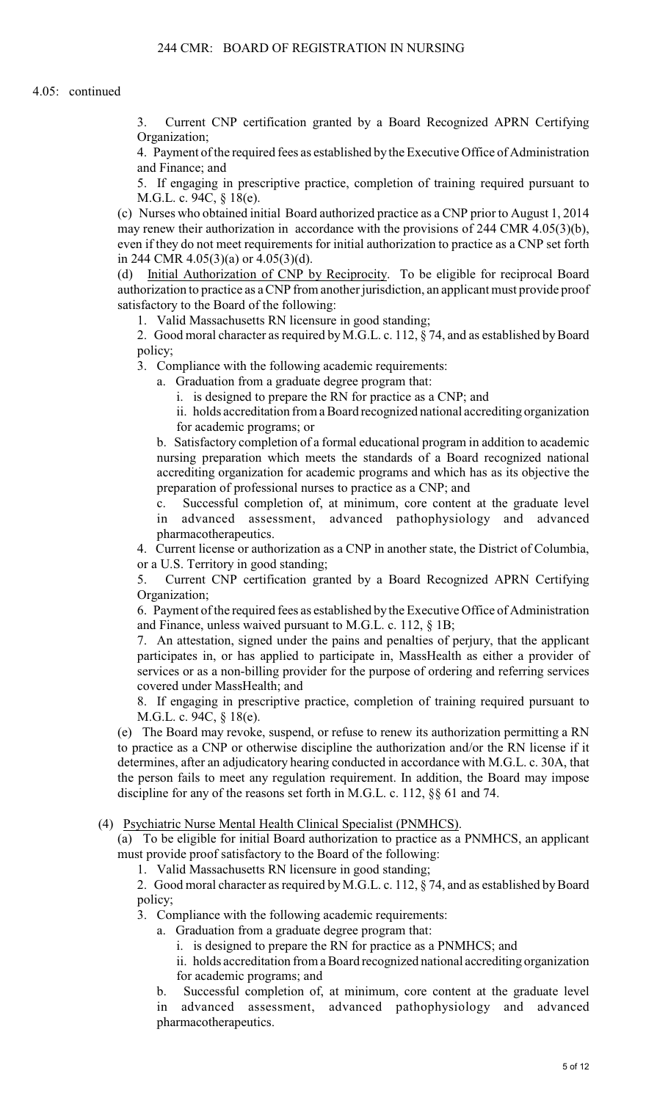3. Current CNP certification granted by a Board Recognized APRN Certifying Organization;

4. Payment of the required fees as established by the Executive Office of Administration and Finance; and

5. If engaging in prescriptive practice, completion of training required pursuant to M.G.L. c. 94C, § 18(e).

(c) Nurses who obtained initial Board authorized practice as a CNP prior to August 1, 2014 may renew their authorization in accordance with the provisions of 244 CMR 4.05(3)(b), even if they do not meet requirements for initial authorization to practice as a CNP set forth in 244 CMR 4.05(3)(a) or 4.05(3)(d).

(d) Initial Authorization of CNP by Reciprocity. To be eligible for reciprocal Board authorization to practice as a CNP from another jurisdiction, an applicant must provide proof satisfactory to the Board of the following:

1. Valid Massachusetts RN licensure in good standing;

2. Good moral character as required by M.G.L. c. 112, § 74, and as established by Board policy;

3. Compliance with the following academic requirements:

a. Graduation from a graduate degree program that:

i. is designed to prepare the RN for practice as a CNP; and

ii. holds accreditation from a Board recognized national accrediting organization for academic programs; or

b. Satisfactory completion of a formal educational program in addition to academic nursing preparation which meets the standards of a Board recognized national accrediting organization for academic programs and which has as its objective the preparation of professional nurses to practice as a CNP; and

c. Successful completion of, at minimum, core content at the graduate level in advanced assessment, advanced pathophysiology and advanced pharmacotherapeutics.

4. Current license or authorization as a CNP in another state, the District of Columbia, or a U.S. Territory in good standing;

5. Current CNP certification granted by a Board Recognized APRN Certifying Organization;

6. Payment of the required fees as established by the Executive Office of Administration and Finance, unless waived pursuant to M.G.L. c. 112, § 1B;

7. An attestation, signed under the pains and penalties of perjury, that the applicant participates in, or has applied to participate in, MassHealth as either a provider of services or as a non-billing provider for the purpose of ordering and referring services covered under MassHealth; and

8. If engaging in prescriptive practice, completion of training required pursuant to M.G.L. c. 94C, § 18(e).

(e) The Board may revoke, suspend, or refuse to renew its authorization permitting a RN to practice as a CNP or otherwise discipline the authorization and/or the RN license if it determines, after an adjudicatory hearing conducted in accordance with M.G.L. c. 30A, that the person fails to meet any regulation requirement. In addition, the Board may impose discipline for any of the reasons set forth in M.G.L. c. 112, §§ 61 and 74.

(4) Psychiatric Nurse Mental Health Clinical Specialist (PNMHCS).

(a) To be eligible for initial Board authorization to practice as a PNMHCS, an applicant must provide proof satisfactory to the Board of the following:

1. Valid Massachusetts RN licensure in good standing;

2. Good moral character as required by M.G.L. c. 112, § 74, and as established by Board policy;

3. Compliance with the following academic requirements:

a. Graduation from a graduate degree program that:

i. is designed to prepare the RN for practice as a PNMHCS; and

ii. holds accreditation from a Board recognized national accrediting organization for academic programs; and

b. Successful completion of, at minimum, core content at the graduate level in advanced assessment, advanced pathophysiology and advanced pharmacotherapeutics.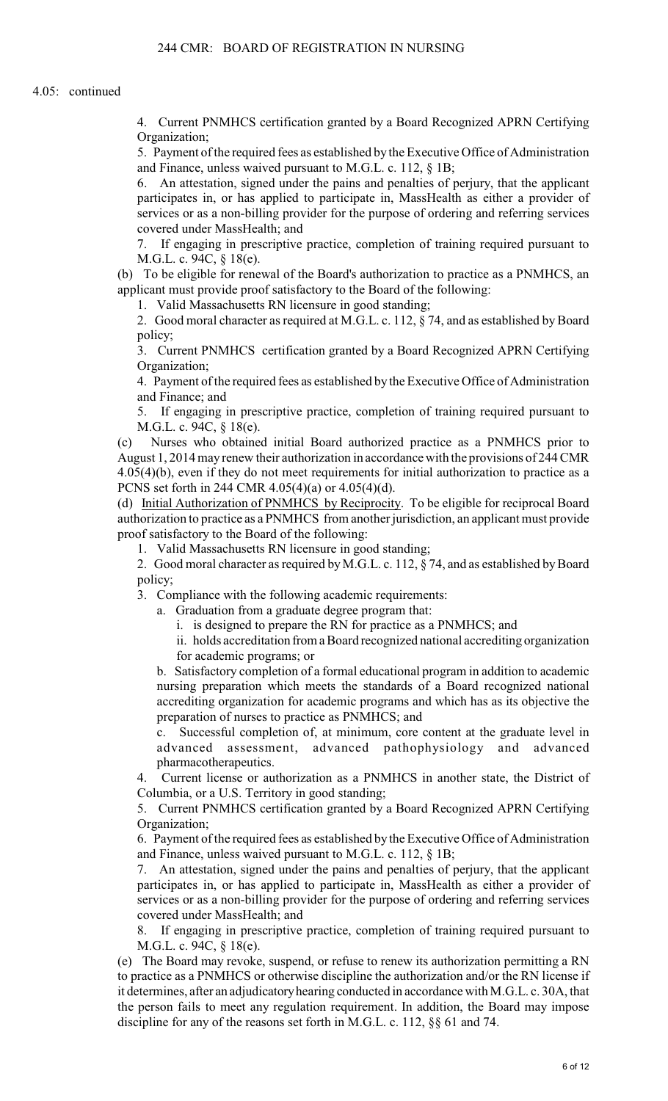4. Current PNMHCS certification granted by a Board Recognized APRN Certifying Organization;

5. Payment of the required fees as established by the Executive Office of Administration and Finance, unless waived pursuant to M.G.L. c. 112, § 1B;

6. An attestation, signed under the pains and penalties of perjury, that the applicant participates in, or has applied to participate in, MassHealth as either a provider of services or as a non-billing provider for the purpose of ordering and referring services covered under MassHealth; and

7. If engaging in prescriptive practice, completion of training required pursuant to M.G.L. c. 94C, § 18(e).

(b) To be eligible for renewal of the Board's authorization to practice as a PNMHCS, an applicant must provide proof satisfactory to the Board of the following:

1. Valid Massachusetts RN licensure in good standing;

2. Good moral character as required at M.G.L. c. 112, § 74, and as established by Board policy;

3. Current PNMHCS certification granted by a Board Recognized APRN Certifying Organization;

4. Payment of the required fees as established by the Executive Office of Administration and Finance; and

5. If engaging in prescriptive practice, completion of training required pursuant to M.G.L. c. 94C, § 18(e).

(c) Nurses who obtained initial Board authorized practice as a PNMHCS prior to August 1, 2014 may renew their authorization in accordance with the provisions of 244 CMR 4.05(4)(b), even if they do not meet requirements for initial authorization to practice as a PCNS set forth in 244 CMR 4.05(4)(a) or 4.05(4)(d).

(d) Initial Authorization of PNMHCS by Reciprocity. To be eligible for reciprocal Board authorization to practice as a PNMHCS from another jurisdiction, an applicant must provide proof satisfactory to the Board of the following:

1. Valid Massachusetts RN licensure in good standing;

2. Good moral character as required by M.G.L. c. 112, § 74, and as established by Board policy;

3. Compliance with the following academic requirements:

a. Graduation from a graduate degree program that:

i. is designed to prepare the RN for practice as a PNMHCS; and

ii. holds accreditation from a Board recognized national accrediting organization for academic programs; or

b. Satisfactory completion of a formal educational program in addition to academic nursing preparation which meets the standards of a Board recognized national accrediting organization for academic programs and which has as its objective the preparation of nurses to practice as PNMHCS; and

c. Successful completion of, at minimum, core content at the graduate level in advanced assessment, advanced pathophysiology and advanced pharmacotherapeutics.

4. Current license or authorization as a PNMHCS in another state, the District of Columbia, or a U.S. Territory in good standing;

5. Current PNMHCS certification granted by a Board Recognized APRN Certifying Organization;

6. Payment of the required fees as established by the Executive Office of Administration and Finance, unless waived pursuant to M.G.L. c. 112, § 1B;

7. An attestation, signed under the pains and penalties of perjury, that the applicant participates in, or has applied to participate in, MassHealth as either a provider of services or as a non-billing provider for the purpose of ordering and referring services covered under MassHealth; and

8. If engaging in prescriptive practice, completion of training required pursuant to M.G.L. c. 94C, § 18(e).

(e) The Board may revoke, suspend, or refuse to renew its authorization permitting a RN to practice as a PNMHCS or otherwise discipline the authorization and/or the RN license if it determines, after an adjudicatory hearing conducted in accordance with M.G.L. c. 30A, that the person fails to meet any regulation requirement. In addition, the Board may impose discipline for any of the reasons set forth in M.G.L. c. 112, §§ 61 and 74.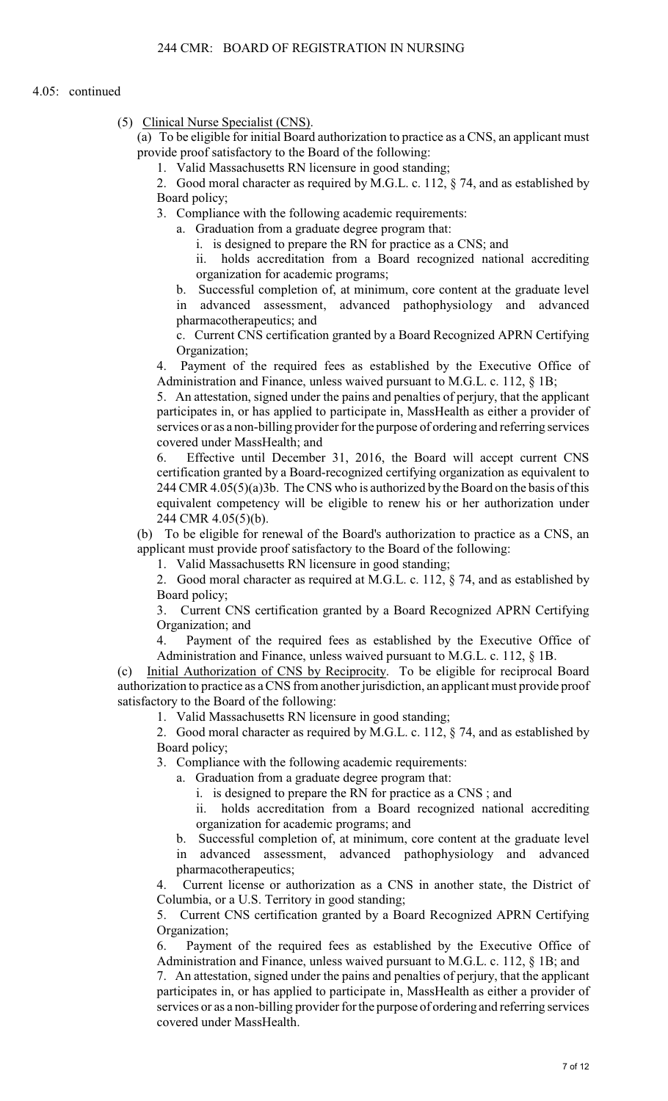(5) Clinical Nurse Specialist (CNS).

(a) To be eligible for initial Board authorization to practice as a CNS, an applicant must provide proof satisfactory to the Board of the following:

1. Valid Massachusetts RN licensure in good standing;

2. Good moral character as required by M.G.L. c. 112, § 74, and as established by Board policy;

3. Compliance with the following academic requirements:

a. Graduation from a graduate degree program that:

i. is designed to prepare the RN for practice as a CNS; and

ii. holds accreditation from a Board recognized national accrediting organization for academic programs;

b. Successful completion of, at minimum, core content at the graduate level in advanced assessment, advanced pathophysiology and advanced pharmacotherapeutics; and

c. Current CNS certification granted by a Board Recognized APRN Certifying Organization;

4. Payment of the required fees as established by the Executive Office of Administration and Finance, unless waived pursuant to M.G.L. c. 112, § 1B;

5. An attestation, signed under the pains and penalties of perjury, that the applicant participates in, or has applied to participate in, MassHealth as either a provider of services or as a non-billing provider for the purpose of ordering and referring services covered under MassHealth; and

6. Effective until December 31, 2016, the Board will accept current CNS certification granted by a Board-recognized certifying organization as equivalent to 244 CMR 4.05(5)(a)3b. The CNS who is authorized by the Board on the basis of this equivalent competency will be eligible to renew his or her authorization under 244 CMR 4.05(5)(b).

(b) To be eligible for renewal of the Board's authorization to practice as a CNS, an applicant must provide proof satisfactory to the Board of the following:

1. Valid Massachusetts RN licensure in good standing;

2. Good moral character as required at M.G.L. c. 112, § 74, and as established by Board policy;

3. Current CNS certification granted by a Board Recognized APRN Certifying Organization; and

4. Payment of the required fees as established by the Executive Office of Administration and Finance, unless waived pursuant to M.G.L. c. 112, § 1B.

(c) Initial Authorization of CNS by Reciprocity. To be eligible for reciprocal Board authorization to practice as a CNS from another jurisdiction, an applicant must provide proof satisfactory to the Board of the following:

1. Valid Massachusetts RN licensure in good standing;

2. Good moral character as required by M.G.L. c. 112, § 74, and as established by Board policy;

3. Compliance with the following academic requirements:

a. Graduation from a graduate degree program that:

i. is designed to prepare the RN for practice as a CNS ; and

ii. holds accreditation from a Board recognized national accrediting organization for academic programs; and

b. Successful completion of, at minimum, core content at the graduate level in advanced assessment, advanced pathophysiology and advanced pharmacotherapeutics;

4. Current license or authorization as a CNS in another state, the District of Columbia, or a U.S. Territory in good standing;

5. Current CNS certification granted by a Board Recognized APRN Certifying Organization;

6. Payment of the required fees as established by the Executive Office of Administration and Finance, unless waived pursuant to M.G.L. c. 112, § 1B; and

7. An attestation, signed under the pains and penalties of perjury, that the applicant participates in, or has applied to participate in, MassHealth as either a provider of services or as a non-billing provider for the purpose of ordering and referring services covered under MassHealth.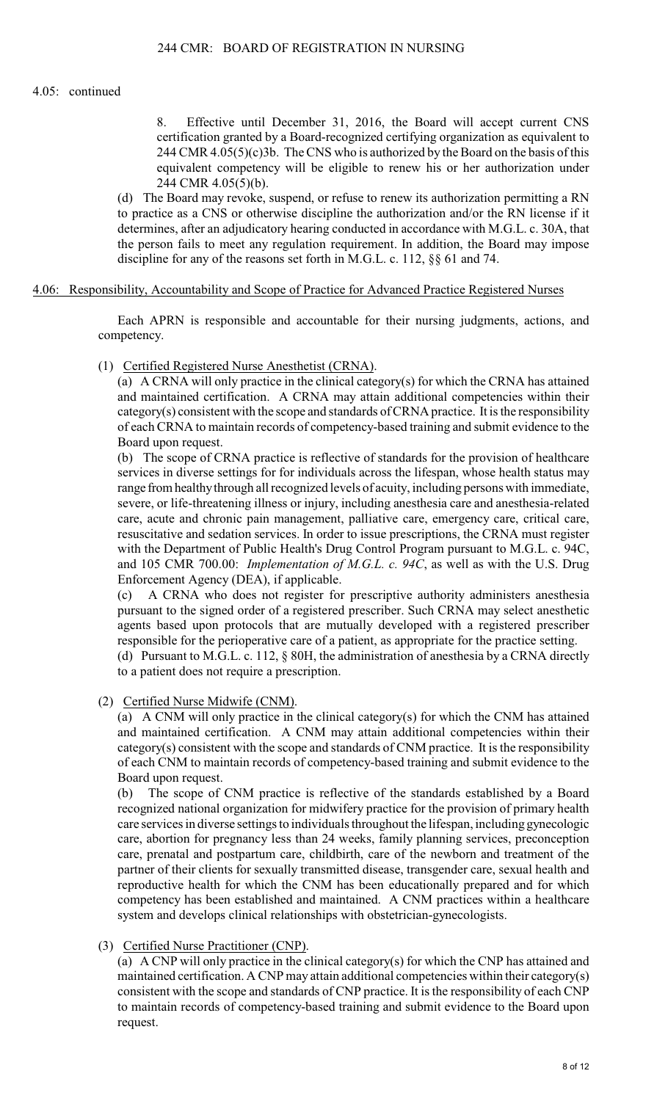### 4.05: continued

8. Effective until December 31, 2016, the Board will accept current CNS certification granted by a Board-recognized certifying organization as equivalent to 244 CMR 4.05(5)(c)3b. The CNS who is authorized by the Board on the basis of this equivalent competency will be eligible to renew his or her authorization under 244 CMR 4.05(5)(b).

(d) The Board may revoke, suspend, or refuse to renew its authorization permitting a RN to practice as a CNS or otherwise discipline the authorization and/or the RN license if it determines, after an adjudicatory hearing conducted in accordance with M.G.L. c. 30A, that the person fails to meet any regulation requirement. In addition, the Board may impose discipline for any of the reasons set forth in M.G.L. c. 112, §§ 61 and 74.

### 4.06: Responsibility, Accountability and Scope of Practice for Advanced Practice Registered Nurses

Each APRN is responsible and accountable for their nursing judgments, actions, and competency.

(1) Certified Registered Nurse Anesthetist (CRNA).

(a) A CRNA will only practice in the clinical category(s) for which the CRNA has attained and maintained certification. A CRNA may attain additional competencies within their category(s) consistent with the scope and standards of CRNA practice. It is the responsibility of each CRNA to maintain records of competency-based training and submit evidence to the Board upon request.

(b) The scope of CRNA practice is reflective of standards for the provision of healthcare services in diverse settings for for individuals across the lifespan, whose health status may range from healthy through all recognized levels of acuity, including persons with immediate, severe, or life-threatening illness or injury, including anesthesia care and anesthesia-related care, acute and chronic pain management, palliative care, emergency care, critical care, resuscitative and sedation services. In order to issue prescriptions, the CRNA must register with the Department of Public Health's Drug Control Program pursuant to M.G.L. c. 94C, and 105 CMR 700.00: *Implementation of M.G.L. c. 94C*, as well as with the U.S. Drug Enforcement Agency (DEA), if applicable.

(c) A CRNA who does not register for prescriptive authority administers anesthesia pursuant to the signed order of a registered prescriber. Such CRNA may select anesthetic agents based upon protocols that are mutually developed with a registered prescriber responsible for the perioperative care of a patient, as appropriate for the practice setting. (d) Pursuant to M.G.L. c. 112, § 80H, the administration of anesthesia by a CRNA directly

to a patient does not require a prescription.

(2) Certified Nurse Midwife (CNM).

(a) A CNM will only practice in the clinical category(s) for which the CNM has attained and maintained certification. A CNM may attain additional competencies within their category(s) consistent with the scope and standards of CNM practice. It is the responsibility of each CNM to maintain records of competency-based training and submit evidence to the Board upon request.

(b) The scope of CNM practice is reflective of the standards established by a Board recognized national organization for midwifery practice for the provision of primary health care services in diverse settings to individuals throughout the lifespan, including gynecologic care, abortion for pregnancy less than 24 weeks, family planning services, preconception care, prenatal and postpartum care, childbirth, care of the newborn and treatment of the partner of their clients for sexually transmitted disease, transgender care, sexual health and reproductive health for which the CNM has been educationally prepared and for which competency has been established and maintained. A CNM practices within a healthcare system and develops clinical relationships with obstetrician-gynecologists.

(3) Certified Nurse Practitioner (CNP).

(a) A CNP will only practice in the clinical category(s) for which the CNP has attained and maintained certification. A CNP may attain additional competencies within their category(s) consistent with the scope and standards of CNP practice. It is the responsibility of each CNP to maintain records of competency-based training and submit evidence to the Board upon request.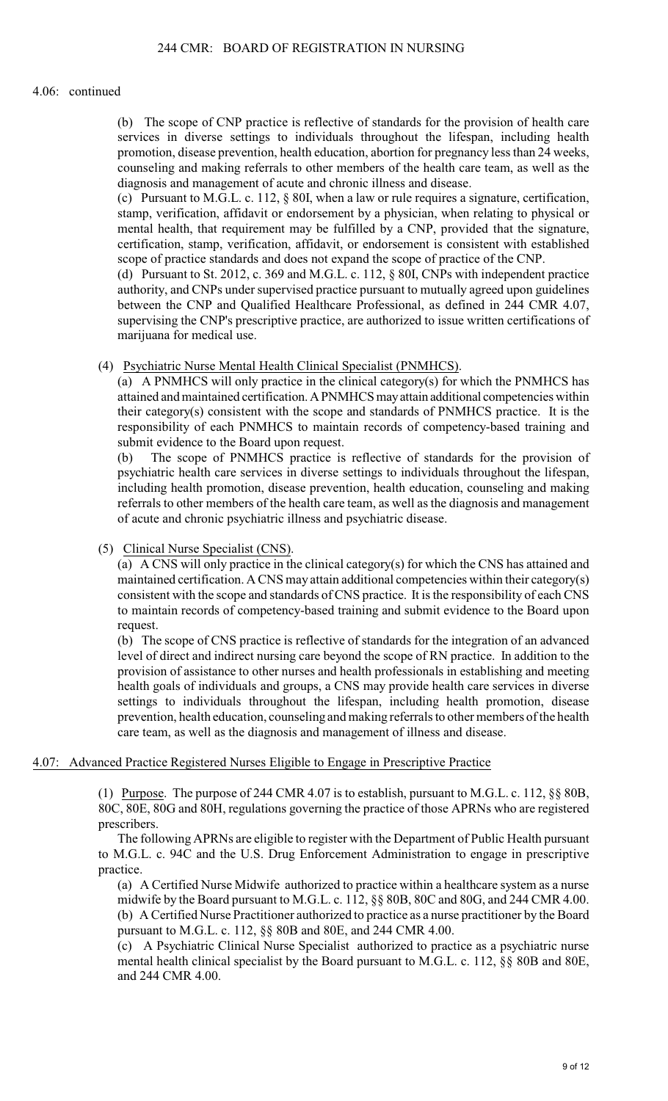#### 4.06: continued

(b) The scope of CNP practice is reflective of standards for the provision of health care services in diverse settings to individuals throughout the lifespan, including health promotion, disease prevention, health education, abortion for pregnancy less than 24 weeks, counseling and making referrals to other members of the health care team, as well as the diagnosis and management of acute and chronic illness and disease.

(c) Pursuant to M.G.L. c. 112,  $\S$  80I, when a law or rule requires a signature, certification, stamp, verification, affidavit or endorsement by a physician, when relating to physical or mental health, that requirement may be fulfilled by a CNP, provided that the signature, certification, stamp, verification, affidavit, or endorsement is consistent with established scope of practice standards and does not expand the scope of practice of the CNP.

(d) Pursuant to St. 2012, c. 369 and M.G.L. c. 112, § 80I, CNPs with independent practice authority, and CNPs under supervised practice pursuant to mutually agreed upon guidelines between the CNP and Qualified Healthcare Professional, as defined in 244 CMR 4.07, supervising the CNP's prescriptive practice, are authorized to issue written certifications of marijuana for medical use.

(4) Psychiatric Nurse Mental Health Clinical Specialist (PNMHCS).

(a) A PNMHCS will only practice in the clinical category(s) for which the PNMHCS has attained and maintained certification. A PNMHCS may attain additional competencies within their category(s) consistent with the scope and standards of PNMHCS practice. It is the responsibility of each PNMHCS to maintain records of competency-based training and submit evidence to the Board upon request.

(b) The scope of PNMHCS practice is reflective of standards for the provision of psychiatric health care services in diverse settings to individuals throughout the lifespan, including health promotion, disease prevention, health education, counseling and making referrals to other members of the health care team, as well as the diagnosis and management of acute and chronic psychiatric illness and psychiatric disease.

(5) Clinical Nurse Specialist (CNS).

(a) A CNS will only practice in the clinical category(s) for which the CNS has attained and maintained certification. A CNS may attain additional competencies within their category(s) consistent with the scope and standards of CNS practice. It is the responsibility of each CNS to maintain records of competency-based training and submit evidence to the Board upon request.

(b) The scope of CNS practice is reflective of standards for the integration of an advanced level of direct and indirect nursing care beyond the scope of RN practice. In addition to the provision of assistance to other nurses and health professionals in establishing and meeting health goals of individuals and groups, a CNS may provide health care services in diverse settings to individuals throughout the lifespan, including health promotion, disease prevention, health education, counseling and making referrals to other members of the health care team, as well as the diagnosis and management of illness and disease.

# 4.07: Advanced Practice Registered Nurses Eligible to Engage in Prescriptive Practice

(1) Purpose. The purpose of 244 CMR 4.07 is to establish, pursuant to M.G.L. c. 112, §§ 80B, 80C, 80E, 80G and 80H, regulations governing the practice of those APRNs who are registered prescribers.

The following APRNs are eligible to register with the Department of Public Health pursuant to M.G.L. c. 94C and the U.S. Drug Enforcement Administration to engage in prescriptive practice.

(a) A Certified Nurse Midwife authorized to practice within a healthcare system as a nurse midwife by the Board pursuant to M.G.L. c. 112, §§ 80B, 80C and 80G, and 244 CMR 4.00. (b) A Certified Nurse Practitioner authorized to practice as a nurse practitioner by the Board pursuant to M.G.L. c. 112, §§ 80B and 80E, and 244 CMR 4.00.

(c) A Psychiatric Clinical Nurse Specialist authorized to practice as a psychiatric nurse mental health clinical specialist by the Board pursuant to M.G.L. c. 112, §§ 80B and 80E, and 244 CMR 4.00.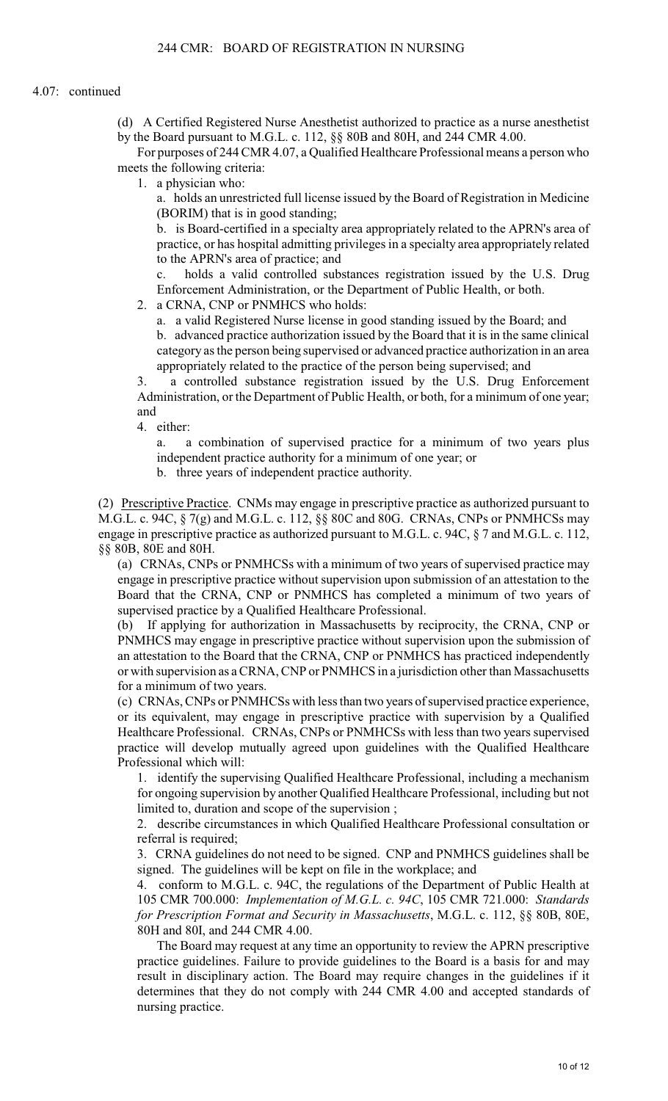(d) A Certified Registered Nurse Anesthetist authorized to practice as a nurse anesthetist by the Board pursuant to M.G.L. c. 112, §§ 80B and 80H, and 244 CMR 4.00.

For purposes of 244 CMR 4.07, a Qualified Healthcare Professional means a person who meets the following criteria:

1. a physician who:

a. holds an unrestricted full license issued by the Board of Registration in Medicine (BORIM) that is in good standing;

b. is Board-certified in a specialty area appropriately related to the APRN's area of practice, or has hospital admitting privileges in a specialty area appropriately related to the APRN's area of practice; and

c. holds a valid controlled substances registration issued by the U.S. Drug Enforcement Administration, or the Department of Public Health, or both.

2. a CRNA, CNP or PNMHCS who holds:

a. a valid Registered Nurse license in good standing issued by the Board; and

b. advanced practice authorization issued by the Board that it is in the same clinical category as the person being supervised or advanced practice authorization in an area appropriately related to the practice of the person being supervised; and

3. a controlled substance registration issued by the U.S. Drug Enforcement Administration, or the Department of Public Health, or both, for a minimum of one year; and

4. either:

a. a combination of supervised practice for a minimum of two years plus independent practice authority for a minimum of one year; or

b. three years of independent practice authority.

(2) Prescriptive Practice. CNMs may engage in prescriptive practice as authorized pursuant to M.G.L. c. 94C, § 7(g) and M.G.L. c. 112, §§ 80C and 80G. CRNAs, CNPs or PNMHCSs may engage in prescriptive practice as authorized pursuant to M.G.L. c. 94C, § 7 and M.G.L. c. 112, §§ 80B, 80E and 80H.

(a) CRNAs, CNPs or PNMHCSs with a minimum of two years of supervised practice may engage in prescriptive practice without supervision upon submission of an attestation to the Board that the CRNA, CNP or PNMHCS has completed a minimum of two years of supervised practice by a Qualified Healthcare Professional.

(b) If applying for authorization in Massachusetts by reciprocity, the CRNA, CNP or PNMHCS may engage in prescriptive practice without supervision upon the submission of an attestation to the Board that the CRNA, CNP or PNMHCS has practiced independently or with supervision as a CRNA, CNP or PNMHCS in a jurisdiction other than Massachusetts for a minimum of two years.

(c) CRNAs, CNPs or PNMHCSs with less than two years of supervised practice experience, or its equivalent, may engage in prescriptive practice with supervision by a Qualified Healthcare Professional. CRNAs, CNPs or PNMHCSs with less than two years supervised practice will develop mutually agreed upon guidelines with the Qualified Healthcare Professional which will:

1. identify the supervising Qualified Healthcare Professional, including a mechanism for ongoing supervision by another Qualified Healthcare Professional, including but not limited to, duration and scope of the supervision ;

2. describe circumstances in which Qualified Healthcare Professional consultation or referral is required;

3. CRNA guidelines do not need to be signed. CNP and PNMHCS guidelines shall be signed. The guidelines will be kept on file in the workplace; and

4. conform to M.G.L. c. 94C, the regulations of the Department of Public Health at 105 CMR 700.000: *Implementation of M.G.L. c. 94C*, 105 CMR 721.000: *Standards for Prescription Format and Security in Massachusetts*, M.G.L. c. 112, §§ 80B, 80E, 80H and 80I, and 244 CMR 4.00.

The Board may request at any time an opportunity to review the APRN prescriptive practice guidelines. Failure to provide guidelines to the Board is a basis for and may result in disciplinary action. The Board may require changes in the guidelines if it determines that they do not comply with 244 CMR 4.00 and accepted standards of nursing practice.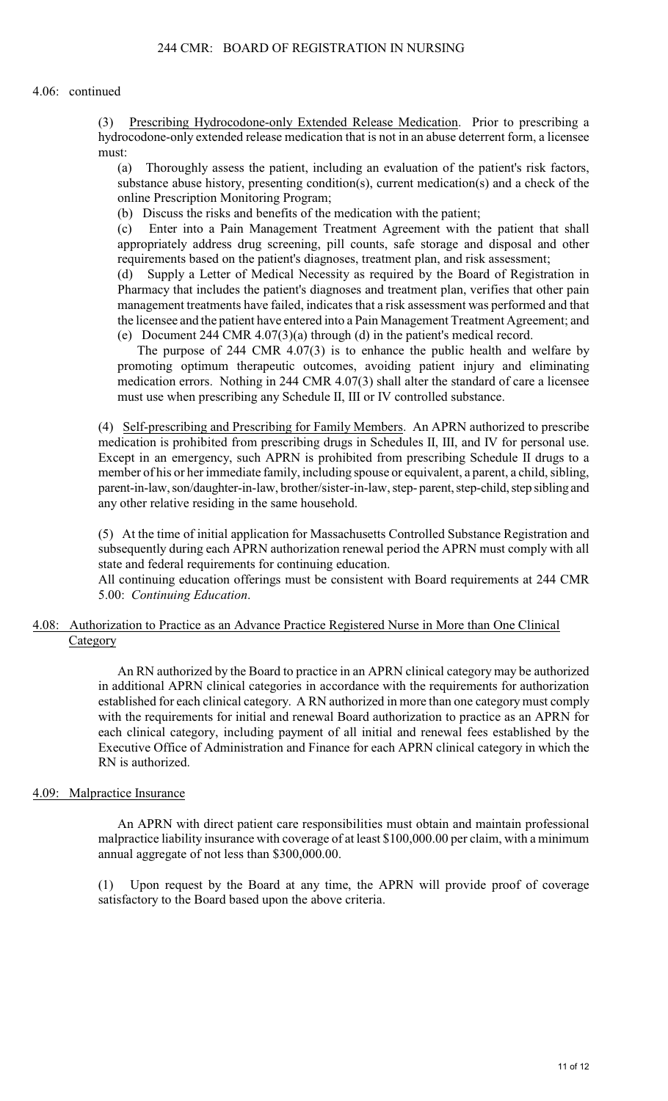#### 4.06: continued

(3) Prescribing Hydrocodone-only Extended Release Medication. Prior to prescribing a hydrocodone-only extended release medication that is not in an abuse deterrent form, a licensee must:

(a) Thoroughly assess the patient, including an evaluation of the patient's risk factors, substance abuse history, presenting condition(s), current medication(s) and a check of the online Prescription Monitoring Program;

(b) Discuss the risks and benefits of the medication with the patient;

(c) Enter into a Pain Management Treatment Agreement with the patient that shall appropriately address drug screening, pill counts, safe storage and disposal and other requirements based on the patient's diagnoses, treatment plan, and risk assessment;

(d) Supply a Letter of Medical Necessity as required by the Board of Registration in Pharmacy that includes the patient's diagnoses and treatment plan, verifies that other pain management treatments have failed, indicates that a risk assessment was performed and that the licensee and the patient have entered into a Pain Management Treatment Agreement; and (e) Document 244 CMR 4.07(3)(a) through (d) in the patient's medical record.

The purpose of 244 CMR 4.07(3) is to enhance the public health and welfare by promoting optimum therapeutic outcomes, avoiding patient injury and eliminating medication errors. Nothing in 244 CMR 4.07(3) shall alter the standard of care a licensee must use when prescribing any Schedule II, III or IV controlled substance.

(4) Self-prescribing and Prescribing for Family Members. An APRN authorized to prescribe medication is prohibited from prescribing drugs in Schedules II, III, and IV for personal use. Except in an emergency, such APRN is prohibited from prescribing Schedule II drugs to a member of his or her immediate family, including spouse or equivalent, a parent, a child, sibling, parent-in-law, son/daughter-in-law, brother/sister-in-law, step- parent, step-child, step sibling and any other relative residing in the same household.

(5) At the time of initial application for Massachusetts Controlled Substance Registration and subsequently during each APRN authorization renewal period the APRN must comply with all state and federal requirements for continuing education.

All continuing education offerings must be consistent with Board requirements at 244 CMR 5.00: *Continuing Education*.

# 4.08: Authorization to Practice as an Advance Practice Registered Nurse in More than One Clinical Category

An RN authorized by the Board to practice in an APRN clinical category may be authorized in additional APRN clinical categories in accordance with the requirements for authorization established for each clinical category. A RN authorized in more than one category must comply with the requirements for initial and renewal Board authorization to practice as an APRN for each clinical category, including payment of all initial and renewal fees established by the Executive Office of Administration and Finance for each APRN clinical category in which the RN is authorized.

# 4.09: Malpractice Insurance

An APRN with direct patient care responsibilities must obtain and maintain professional malpractice liability insurance with coverage of at least \$100,000.00 per claim, with a minimum annual aggregate of not less than \$300,000.00.

(1) Upon request by the Board at any time, the APRN will provide proof of coverage satisfactory to the Board based upon the above criteria.